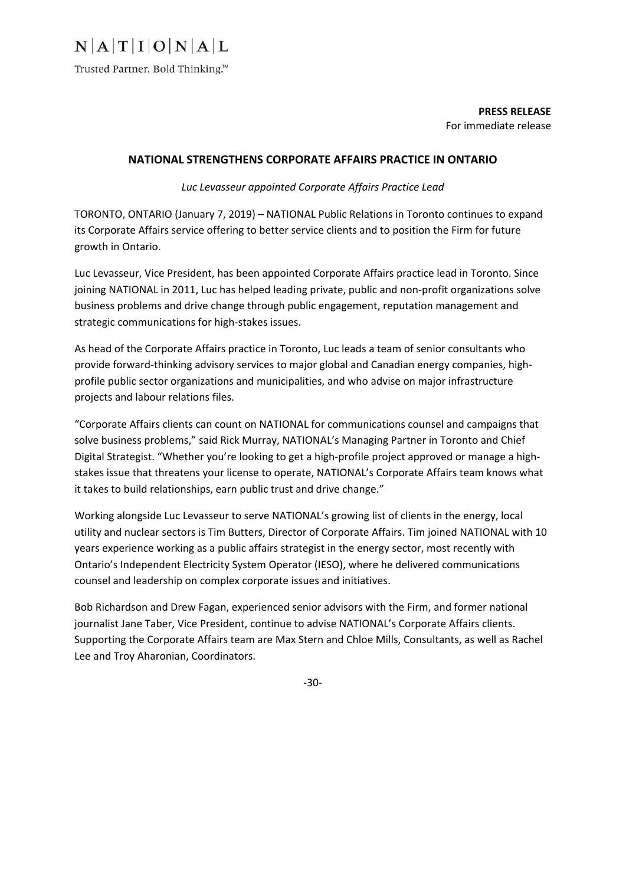## $N|A|T|I|O|N|A|L$

Trusted Partner. Bold Thinking.™

**PRESS RELEASE**  For immediate release

### **NATIONAL STRENGTHENS CORPORATE AFFAIRS PRACTICE IN ONTARIO**

*Luc Levasseur appointed Corporate Affairs Practice Lead* 

TORONTO, ONTARIO (January 7, 2019) – NATIONAL Public Relations in Toronto continues to expand its Corporate Affairs service offering to better service clients and to position the Firm for future growth in Ontario.

Luc Levasseur, Vice President, has been appointed Corporate Affairs practice lead in Toronto. Since joining NATIONAL in 2011, Luc has helped leading private, public and non-profit organizations solve business problems and drive change through public engagement, reputation management and strategic communications for high‐stakes issues.

As head of the Corporate Affairs practice in Toronto, Luc leads a team of senior consultants who provide forward-thinking advisory services to major global and Canadian energy companies, highprofile public sector organizations and municipalities, and who advise on major infrastructure projects and labour relations files.

"Corporate Affairs clients can count on NATIONAL for communications counsel and campaigns that solve business problems," said Rick Murray, NATIONAL's Managing Partner in Toronto and Chief Digital Strategist. "Whether you're looking to get a high‐profile project approved or manage a high‐ stakes issue that threatens your license to operate, NATIONAL's Corporate Affairs team knows what it takes to build relationships, earn public trust and drive change."

Working alongside Luc Levasseur to serve NATIONAL's growing list of clients in the energy, local utility and nuclear sectors is Tim Butters, Director of Corporate Affairs. Tim joined NATIONAL with 10 years experience working as a public affairs strategist in the energy sector, most recently with Ontario's Independent Electricity System Operator (IESO), where he delivered communications counsel and leadership on complex corporate issues and initiatives.

Bob Richardson and Drew Fagan, experienced senior advisors with the Firm, and former national journalist Jane Taber, Vice President, continue to advise NATIONAL's Corporate Affairs clients. Supporting the Corporate Affairs team are Max Stern and Chloe Mills, Consultants, as well as Rachel Lee and Troy Aharonian, Coordinators.

‐30‐